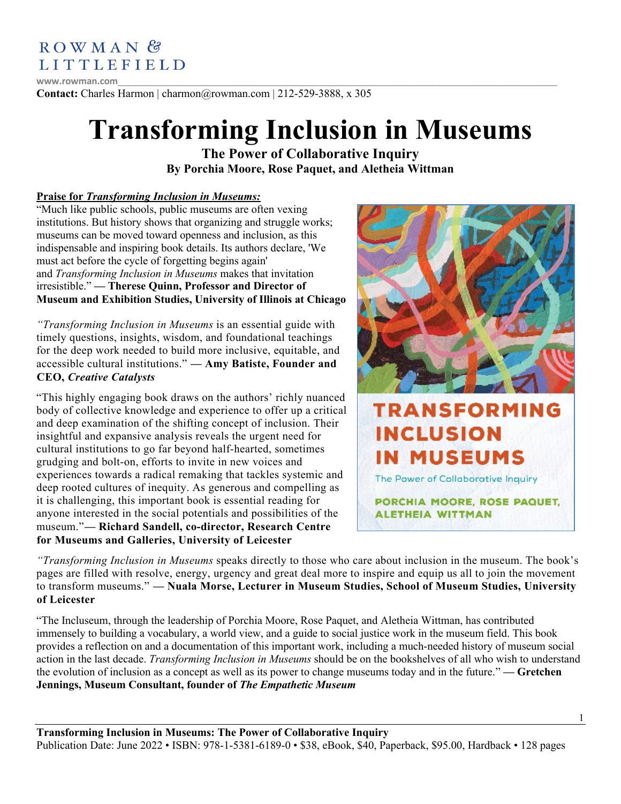

**www.rowman.com**\_\_\_\_\_\_\_\_\_\_\_\_\_\_\_\_\_\_\_\_\_\_\_\_\_\_\_\_\_\_\_\_\_\_\_\_\_\_\_\_\_\_\_\_\_\_\_\_\_\_\_\_\_\_\_\_\_\_\_\_\_\_\_\_\_\_\_\_\_\_\_\_\_\_\_\_\_\_\_\_\_\_\_\_\_\_\_ **Contact:** Charles Harmon | charmon@rowman.com | 212-529-3888, x 305

# **Transforming Inclusion in Museums**

**The Power of Collaborative Inquiry By Porchia Moore, Rose Paquet, and Aletheia Wittman**

# **Praise for** *Transforming Inclusion in Museums:*

"Much like public schools, public museums are often vexing institutions. But history shows that organizing and struggle works; museums can be moved toward openness and inclusion, as this indispensable and inspiring book details. Its authors declare, 'We must act before the cycle of forgetting begins again' and *Transforming Inclusion in Museums* makes that invitation irresistible." **— Therese Quinn, Professor and Director of Museum and Exhibition Studies, University of Illinois at Chicago**

*"Transforming Inclusion in Museums* is an essential guide with timely questions, insights, wisdom, and foundational teachings for the deep work needed to build more inclusive, equitable, and accessible cultural institutions." **— Amy Batiste, Founder and CEO,** *Creative Catalysts*

"This highly engaging book draws on the authors' richly nuanced body of collective knowledge and experience to offer up a critical and deep examination of the shifting concept of inclusion. Their insightful and expansive analysis reveals the urgent need for cultural institutions to go far beyond half-hearted, sometimes grudging and bolt-on, efforts to invite in new voices and experiences towards a radical remaking that tackles systemic and deep rooted cultures of inequity. As generous and compelling as it is challenging, this important book is essential reading for anyone interested in the social potentials and possibilities of the museum."**— Richard Sandell, co-director, Research Centre for Museums and Galleries, University of Leicester**



*"Transforming Inclusion in Museums* speaks directly to those who care about inclusion in the museum. The book's pages are filled with resolve, energy, urgency and great deal more to inspire and equip us all to join the movement to transform museums." **— Nuala Morse, Lecturer in Museum Studies, School of Museum Studies, University of Leicester**

"The Incluseum, through the leadership of Porchia Moore, Rose Paquet, and Aletheia Wittman, has contributed immensely to building a vocabulary, a world view, and a guide to social justice work in the museum field. This book provides a reflection on and a documentation of this important work, including a much-needed history of museum social action in the last decade. *Transforming Inclusion in Museums* should be on the bookshelves of all who wish to understand the evolution of inclusion as a concept as well as its power to change museums today and in the future." **— Gretchen Jennings, Museum Consultant, founder of** *The Empathetic Museum*